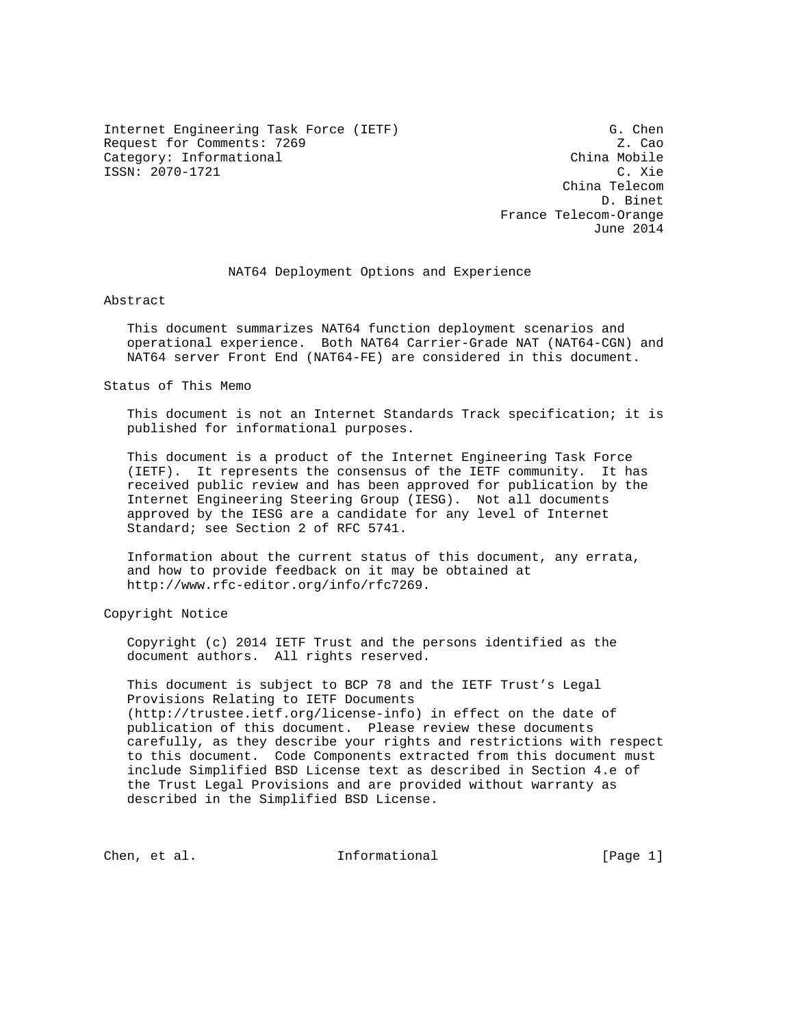Internet Engineering Task Force (IETF) G. Chen Request for Comments: 7269 Z. Cao Category: Informational ISSN: 2070-1721 C. Xie

 China Telecom D. Binet France Telecom-Orange June 2014

## NAT64 Deployment Options and Experience

Abstract

 This document summarizes NAT64 function deployment scenarios and operational experience. Both NAT64 Carrier-Grade NAT (NAT64-CGN) and NAT64 server Front End (NAT64-FE) are considered in this document.

Status of This Memo

 This document is not an Internet Standards Track specification; it is published for informational purposes.

 This document is a product of the Internet Engineering Task Force (IETF). It represents the consensus of the IETF community. It has received public review and has been approved for publication by the Internet Engineering Steering Group (IESG). Not all documents approved by the IESG are a candidate for any level of Internet Standard; see Section 2 of RFC 5741.

 Information about the current status of this document, any errata, and how to provide feedback on it may be obtained at http://www.rfc-editor.org/info/rfc7269.

Copyright Notice

 Copyright (c) 2014 IETF Trust and the persons identified as the document authors. All rights reserved.

 This document is subject to BCP 78 and the IETF Trust's Legal Provisions Relating to IETF Documents (http://trustee.ietf.org/license-info) in effect on the date of publication of this document. Please review these documents carefully, as they describe your rights and restrictions with respect to this document. Code Components extracted from this document must include Simplified BSD License text as described in Section 4.e of the Trust Legal Provisions and are provided without warranty as described in the Simplified BSD License.

Chen, et al. Informational [Page 1]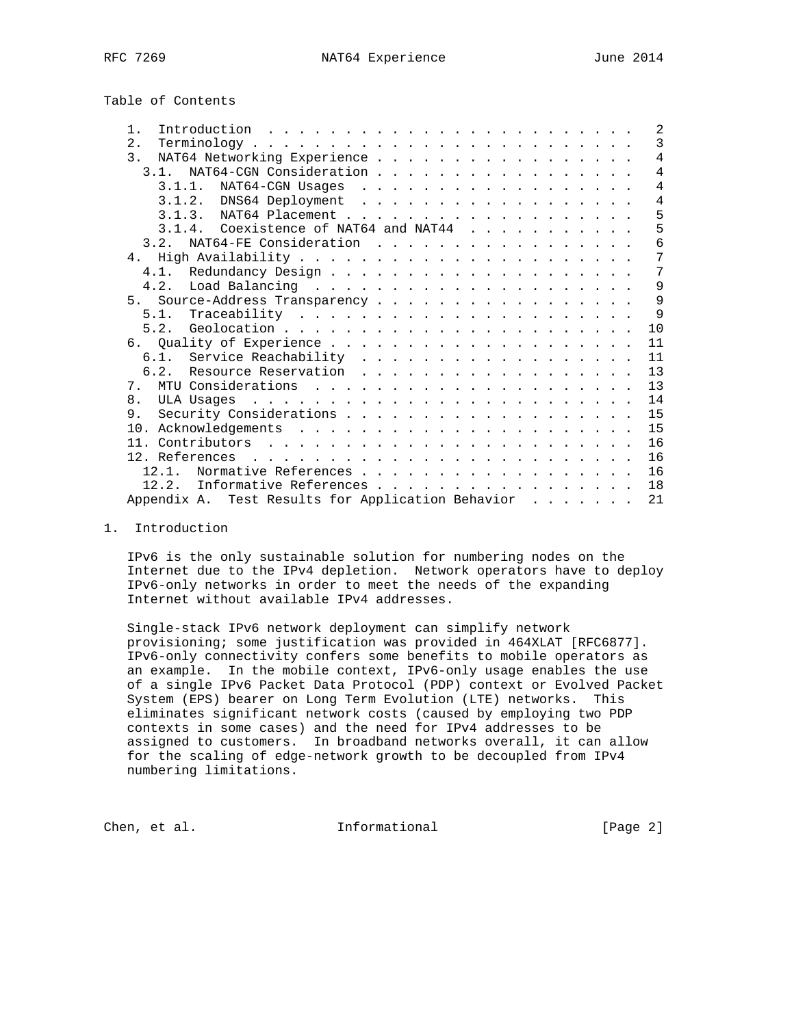# Table of Contents

|  |  |  | 2                                                                                                                                                                                                                                                                                                                                                                                                  |
|--|--|--|----------------------------------------------------------------------------------------------------------------------------------------------------------------------------------------------------------------------------------------------------------------------------------------------------------------------------------------------------------------------------------------------------|
|  |  |  | $\mathcal{E}$                                                                                                                                                                                                                                                                                                                                                                                      |
|  |  |  | $\overline{4}$                                                                                                                                                                                                                                                                                                                                                                                     |
|  |  |  | $\overline{4}$                                                                                                                                                                                                                                                                                                                                                                                     |
|  |  |  | $\overline{4}$                                                                                                                                                                                                                                                                                                                                                                                     |
|  |  |  | $\overline{4}$                                                                                                                                                                                                                                                                                                                                                                                     |
|  |  |  | 5                                                                                                                                                                                                                                                                                                                                                                                                  |
|  |  |  | 5                                                                                                                                                                                                                                                                                                                                                                                                  |
|  |  |  | 6                                                                                                                                                                                                                                                                                                                                                                                                  |
|  |  |  | 7                                                                                                                                                                                                                                                                                                                                                                                                  |
|  |  |  | 7                                                                                                                                                                                                                                                                                                                                                                                                  |
|  |  |  | 9                                                                                                                                                                                                                                                                                                                                                                                                  |
|  |  |  | 9                                                                                                                                                                                                                                                                                                                                                                                                  |
|  |  |  | $\mathsf{Q}$                                                                                                                                                                                                                                                                                                                                                                                       |
|  |  |  | 10                                                                                                                                                                                                                                                                                                                                                                                                 |
|  |  |  | 11                                                                                                                                                                                                                                                                                                                                                                                                 |
|  |  |  | 11                                                                                                                                                                                                                                                                                                                                                                                                 |
|  |  |  | 13                                                                                                                                                                                                                                                                                                                                                                                                 |
|  |  |  | 13                                                                                                                                                                                                                                                                                                                                                                                                 |
|  |  |  | 14                                                                                                                                                                                                                                                                                                                                                                                                 |
|  |  |  | 15                                                                                                                                                                                                                                                                                                                                                                                                 |
|  |  |  | 15                                                                                                                                                                                                                                                                                                                                                                                                 |
|  |  |  | 16                                                                                                                                                                                                                                                                                                                                                                                                 |
|  |  |  | 16                                                                                                                                                                                                                                                                                                                                                                                                 |
|  |  |  | 16                                                                                                                                                                                                                                                                                                                                                                                                 |
|  |  |  | 18                                                                                                                                                                                                                                                                                                                                                                                                 |
|  |  |  | 21                                                                                                                                                                                                                                                                                                                                                                                                 |
|  |  |  | Introduction $\ldots \ldots \ldots \ldots \ldots \ldots \ldots \ldots$<br>NAT64 Networking Experience<br>3.1. NAT64-CGN Consideration<br>$\frac{1}{2}$<br>3.1.4. Coexistence of NAT64 and NAT44<br>5. Source-Address Transparency<br>6.1. Service Reachability<br>6.2. Resource Reservation<br>Normative References<br>Informative References<br>Appendix A. Test Results for Application Behavior |

#### 1. Introduction

 IPv6 is the only sustainable solution for numbering nodes on the Internet due to the IPv4 depletion. Network operators have to deploy IPv6-only networks in order to meet the needs of the expanding Internet without available IPv4 addresses.

 Single-stack IPv6 network deployment can simplify network provisioning; some justification was provided in 464XLAT [RFC6877]. IPv6-only connectivity confers some benefits to mobile operators as an example. In the mobile context, IPv6-only usage enables the use of a single IPv6 Packet Data Protocol (PDP) context or Evolved Packet System (EPS) bearer on Long Term Evolution (LTE) networks. This eliminates significant network costs (caused by employing two PDP contexts in some cases) and the need for IPv4 addresses to be assigned to customers. In broadband networks overall, it can allow for the scaling of edge-network growth to be decoupled from IPv4 numbering limitations.

Chen, et al. 100 mm and 111 mm and 111 mm and 121 mm and 121 mm and 121 mm and 121 mm and 121 mm and 121 mm and 121 mm and 121 mm and 121 mm and 121 mm and 121 mm and 121 mm and 121 mm and 121 mm and 121 mm and 121 mm and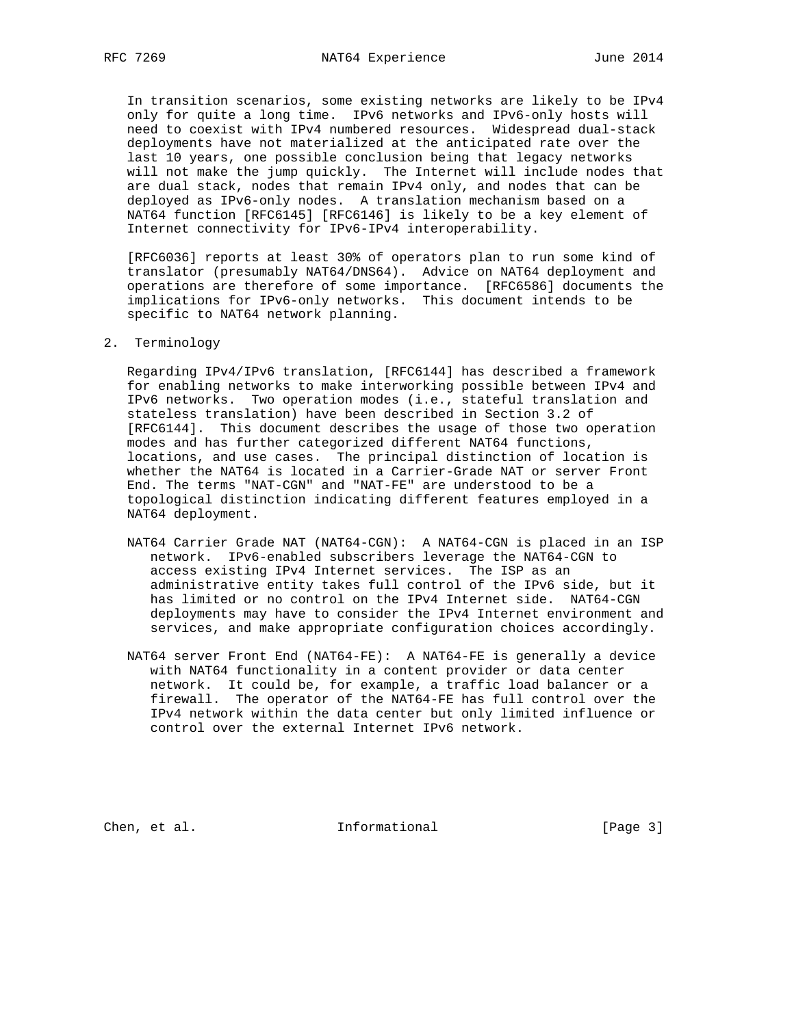In transition scenarios, some existing networks are likely to be IPv4 only for quite a long time. IPv6 networks and IPv6-only hosts will need to coexist with IPv4 numbered resources. Widespread dual-stack deployments have not materialized at the anticipated rate over the last 10 years, one possible conclusion being that legacy networks will not make the jump quickly. The Internet will include nodes that are dual stack, nodes that remain IPv4 only, and nodes that can be deployed as IPv6-only nodes. A translation mechanism based on a NAT64 function [RFC6145] [RFC6146] is likely to be a key element of Internet connectivity for IPv6-IPv4 interoperability.

 [RFC6036] reports at least 30% of operators plan to run some kind of translator (presumably NAT64/DNS64). Advice on NAT64 deployment and operations are therefore of some importance. [RFC6586] documents the implications for IPv6-only networks. This document intends to be specific to NAT64 network planning.

2. Terminology

 Regarding IPv4/IPv6 translation, [RFC6144] has described a framework for enabling networks to make interworking possible between IPv4 and IPv6 networks. Two operation modes (i.e., stateful translation and stateless translation) have been described in Section 3.2 of [RFC6144]. This document describes the usage of those two operation modes and has further categorized different NAT64 functions, locations, and use cases. The principal distinction of location is whether the NAT64 is located in a Carrier-Grade NAT or server Front End. The terms "NAT-CGN" and "NAT-FE" are understood to be a topological distinction indicating different features employed in a NAT64 deployment.

- NAT64 Carrier Grade NAT (NAT64-CGN): A NAT64-CGN is placed in an ISP network. IPv6-enabled subscribers leverage the NAT64-CGN to access existing IPv4 Internet services. The ISP as an administrative entity takes full control of the IPv6 side, but it has limited or no control on the IPv4 Internet side. NAT64-CGN deployments may have to consider the IPv4 Internet environment and services, and make appropriate configuration choices accordingly.
- NAT64 server Front End (NAT64-FE): A NAT64-FE is generally a device with NAT64 functionality in a content provider or data center network. It could be, for example, a traffic load balancer or a firewall. The operator of the NAT64-FE has full control over the IPv4 network within the data center but only limited influence or control over the external Internet IPv6 network.

Chen, et al. 100 Informational 100 [Page 3]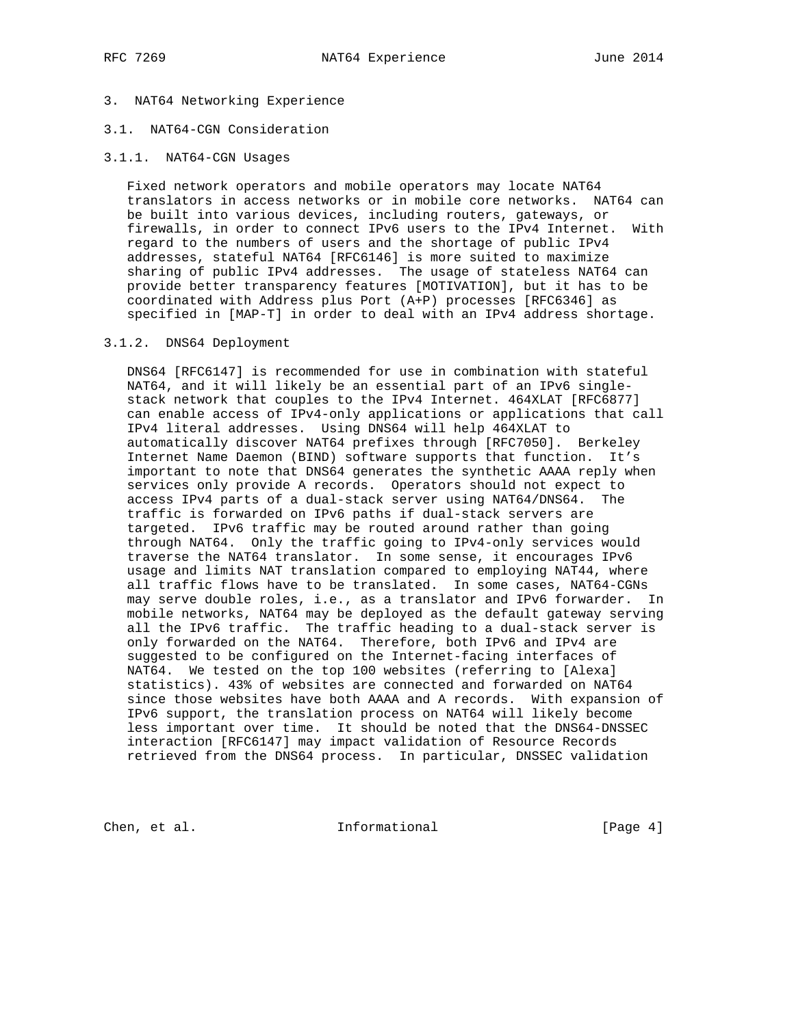# 3. NAT64 Networking Experience

# 3.1. NAT64-CGN Consideration

### 3.1.1. NAT64-CGN Usages

 Fixed network operators and mobile operators may locate NAT64 translators in access networks or in mobile core networks. NAT64 can be built into various devices, including routers, gateways, or firewalls, in order to connect IPv6 users to the IPv4 Internet. With regard to the numbers of users and the shortage of public IPv4 addresses, stateful NAT64 [RFC6146] is more suited to maximize sharing of public IPv4 addresses. The usage of stateless NAT64 can provide better transparency features [MOTIVATION], but it has to be coordinated with Address plus Port (A+P) processes [RFC6346] as specified in [MAP-T] in order to deal with an IPv4 address shortage.

### 3.1.2. DNS64 Deployment

 DNS64 [RFC6147] is recommended for use in combination with stateful NAT64, and it will likely be an essential part of an IPv6 single stack network that couples to the IPv4 Internet. 464XLAT [RFC6877] can enable access of IPv4-only applications or applications that call IPv4 literal addresses. Using DNS64 will help 464XLAT to automatically discover NAT64 prefixes through [RFC7050]. Berkeley Internet Name Daemon (BIND) software supports that function. It's important to note that DNS64 generates the synthetic AAAA reply when services only provide A records. Operators should not expect to access IPv4 parts of a dual-stack server using NAT64/DNS64. The traffic is forwarded on IPv6 paths if dual-stack servers are targeted. IPv6 traffic may be routed around rather than going through NAT64. Only the traffic going to IPv4-only services would traverse the NAT64 translator. In some sense, it encourages IPv6 usage and limits NAT translation compared to employing NAT44, where all traffic flows have to be translated. In some cases, NAT64-CGNs may serve double roles, i.e., as a translator and IPv6 forwarder. In mobile networks, NAT64 may be deployed as the default gateway serving all the IPv6 traffic. The traffic heading to a dual-stack server is only forwarded on the NAT64. Therefore, both IPv6 and IPv4 are suggested to be configured on the Internet-facing interfaces of NAT64. We tested on the top 100 websites (referring to [Alexa] statistics). 43% of websites are connected and forwarded on NAT64 since those websites have both AAAA and A records. With expansion of IPv6 support, the translation process on NAT64 will likely become less important over time. It should be noted that the DNS64-DNSSEC interaction [RFC6147] may impact validation of Resource Records retrieved from the DNS64 process. In particular, DNSSEC validation

Chen, et al. 100 Informational 100 [Page 4]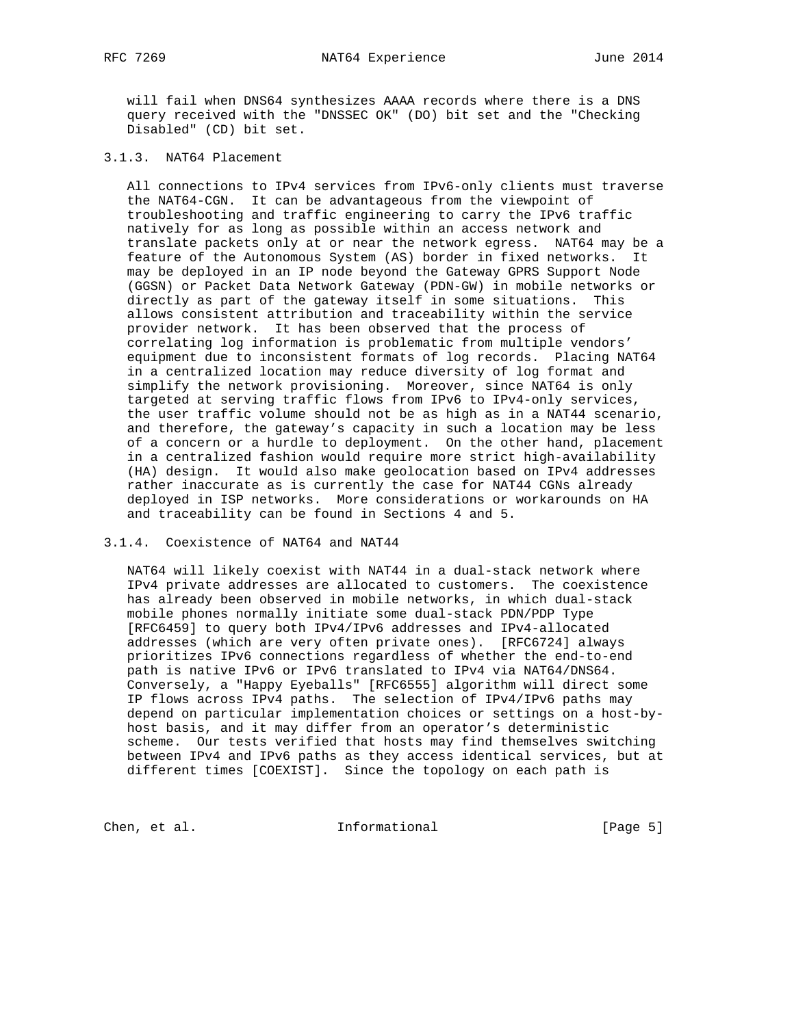will fail when DNS64 synthesizes AAAA records where there is a DNS query received with the "DNSSEC OK" (DO) bit set and the "Checking Disabled" (CD) bit set.

# 3.1.3. NAT64 Placement

 All connections to IPv4 services from IPv6-only clients must traverse the NAT64-CGN. It can be advantageous from the viewpoint of troubleshooting and traffic engineering to carry the IPv6 traffic natively for as long as possible within an access network and translate packets only at or near the network egress. NAT64 may be a feature of the Autonomous System (AS) border in fixed networks. It may be deployed in an IP node beyond the Gateway GPRS Support Node (GGSN) or Packet Data Network Gateway (PDN-GW) in mobile networks or directly as part of the gateway itself in some situations. This allows consistent attribution and traceability within the service provider network. It has been observed that the process of correlating log information is problematic from multiple vendors' equipment due to inconsistent formats of log records. Placing NAT64 in a centralized location may reduce diversity of log format and simplify the network provisioning. Moreover, since NAT64 is only targeted at serving traffic flows from IPv6 to IPv4-only services, the user traffic volume should not be as high as in a NAT44 scenario, and therefore, the gateway's capacity in such a location may be less of a concern or a hurdle to deployment. On the other hand, placement in a centralized fashion would require more strict high-availability (HA) design. It would also make geolocation based on IPv4 addresses rather inaccurate as is currently the case for NAT44 CGNs already deployed in ISP networks. More considerations or workarounds on HA and traceability can be found in Sections 4 and 5.

#### 3.1.4. Coexistence of NAT64 and NAT44

 NAT64 will likely coexist with NAT44 in a dual-stack network where IPv4 private addresses are allocated to customers. The coexistence has already been observed in mobile networks, in which dual-stack mobile phones normally initiate some dual-stack PDN/PDP Type [RFC6459] to query both IPv4/IPv6 addresses and IPv4-allocated addresses (which are very often private ones). [RFC6724] always prioritizes IPv6 connections regardless of whether the end-to-end path is native IPv6 or IPv6 translated to IPv4 via NAT64/DNS64. Conversely, a "Happy Eyeballs" [RFC6555] algorithm will direct some IP flows across IPv4 paths. The selection of IPv4/IPv6 paths may depend on particular implementation choices or settings on a host-by host basis, and it may differ from an operator's deterministic scheme. Our tests verified that hosts may find themselves switching between IPv4 and IPv6 paths as they access identical services, but at different times [COEXIST]. Since the topology on each path is

Chen, et al. 100 mm informational 100 mm informational [Page 5]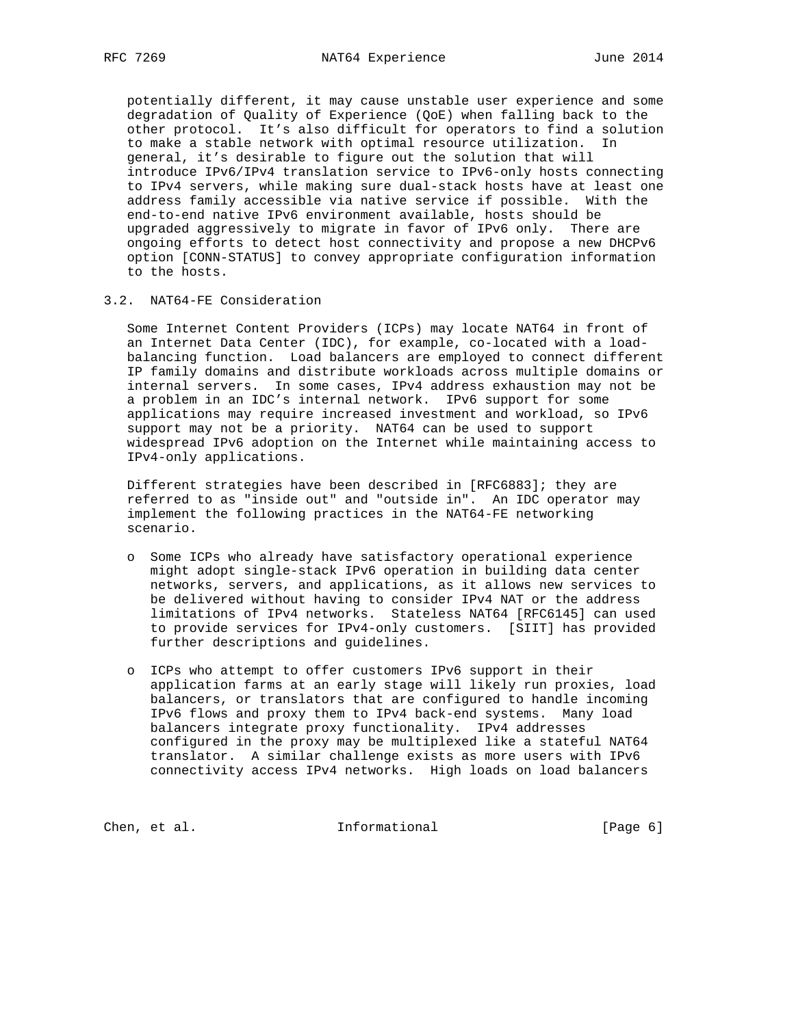potentially different, it may cause unstable user experience and some degradation of Quality of Experience (QoE) when falling back to the other protocol. It's also difficult for operators to find a solution to make a stable network with optimal resource utilization. In general, it's desirable to figure out the solution that will introduce IPv6/IPv4 translation service to IPv6-only hosts connecting to IPv4 servers, while making sure dual-stack hosts have at least one address family accessible via native service if possible. With the end-to-end native IPv6 environment available, hosts should be upgraded aggressively to migrate in favor of IPv6 only. There are ongoing efforts to detect host connectivity and propose a new DHCPv6 option [CONN-STATUS] to convey appropriate configuration information to the hosts.

# 3.2. NAT64-FE Consideration

 Some Internet Content Providers (ICPs) may locate NAT64 in front of an Internet Data Center (IDC), for example, co-located with a load balancing function. Load balancers are employed to connect different IP family domains and distribute workloads across multiple domains or internal servers. In some cases, IPv4 address exhaustion may not be a problem in an IDC's internal network. IPv6 support for some applications may require increased investment and workload, so IPv6 support may not be a priority. NAT64 can be used to support widespread IPv6 adoption on the Internet while maintaining access to IPv4-only applications.

 Different strategies have been described in [RFC6883]; they are referred to as "inside out" and "outside in". An IDC operator may implement the following practices in the NAT64-FE networking scenario.

- o Some ICPs who already have satisfactory operational experience might adopt single-stack IPv6 operation in building data center networks, servers, and applications, as it allows new services to be delivered without having to consider IPv4 NAT or the address limitations of IPv4 networks. Stateless NAT64 [RFC6145] can used to provide services for IPv4-only customers. [SIIT] has provided further descriptions and guidelines.
- o ICPs who attempt to offer customers IPv6 support in their application farms at an early stage will likely run proxies, load balancers, or translators that are configured to handle incoming IPv6 flows and proxy them to IPv4 back-end systems. Many load balancers integrate proxy functionality. IPv4 addresses configured in the proxy may be multiplexed like a stateful NAT64 translator. A similar challenge exists as more users with IPv6 connectivity access IPv4 networks. High loads on load balancers

Chen, et al. 1nformational [Page 6]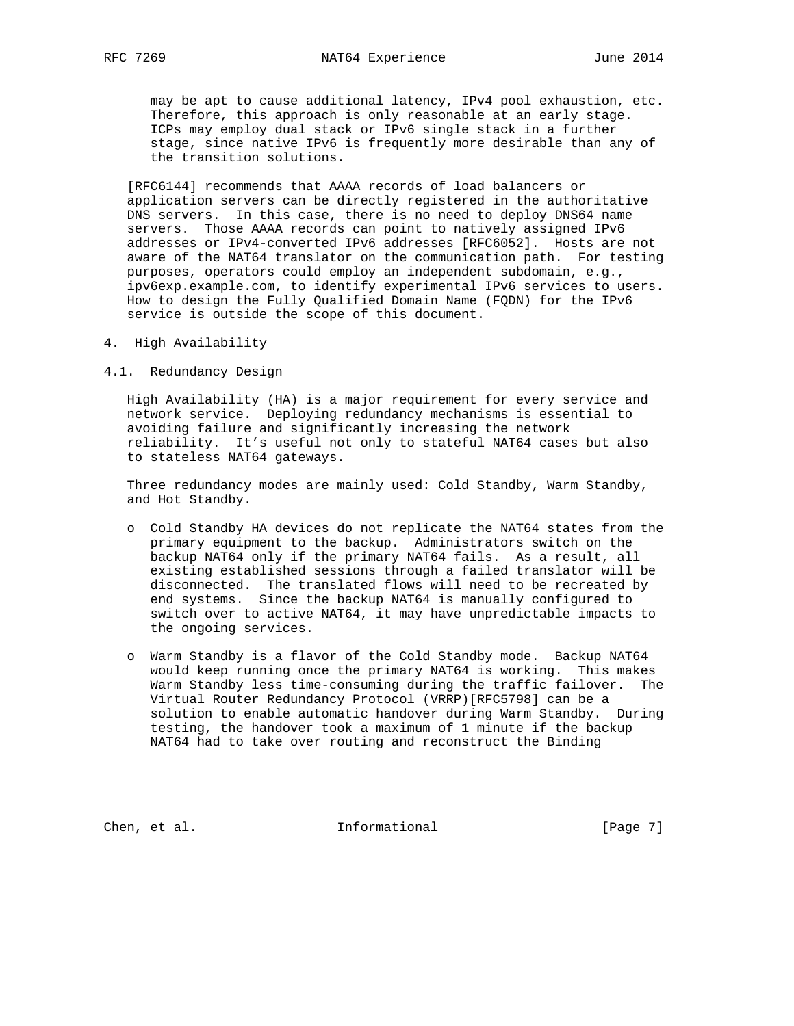may be apt to cause additional latency, IPv4 pool exhaustion, etc. Therefore, this approach is only reasonable at an early stage. ICPs may employ dual stack or IPv6 single stack in a further stage, since native IPv6 is frequently more desirable than any of the transition solutions.

 [RFC6144] recommends that AAAA records of load balancers or application servers can be directly registered in the authoritative DNS servers. In this case, there is no need to deploy DNS64 name servers. Those AAAA records can point to natively assigned IPv6 addresses or IPv4-converted IPv6 addresses [RFC6052]. Hosts are not aware of the NAT64 translator on the communication path. For testing purposes, operators could employ an independent subdomain, e.g., ipv6exp.example.com, to identify experimental IPv6 services to users. How to design the Fully Qualified Domain Name (FQDN) for the IPv6 service is outside the scope of this document.

- 4. High Availability
- 4.1. Redundancy Design

 High Availability (HA) is a major requirement for every service and network service. Deploying redundancy mechanisms is essential to avoiding failure and significantly increasing the network reliability. It's useful not only to stateful NAT64 cases but also to stateless NAT64 gateways.

 Three redundancy modes are mainly used: Cold Standby, Warm Standby, and Hot Standby.

- o Cold Standby HA devices do not replicate the NAT64 states from the primary equipment to the backup. Administrators switch on the backup NAT64 only if the primary NAT64 fails. As a result, all existing established sessions through a failed translator will be disconnected. The translated flows will need to be recreated by end systems. Since the backup NAT64 is manually configured to switch over to active NAT64, it may have unpredictable impacts to the ongoing services.
- o Warm Standby is a flavor of the Cold Standby mode. Backup NAT64 would keep running once the primary NAT64 is working. This makes Warm Standby less time-consuming during the traffic failover. The Virtual Router Redundancy Protocol (VRRP)[RFC5798] can be a solution to enable automatic handover during Warm Standby. During testing, the handover took a maximum of 1 minute if the backup NAT64 had to take over routing and reconstruct the Binding

Chen, et al. 100 Informational 100 [Page 7]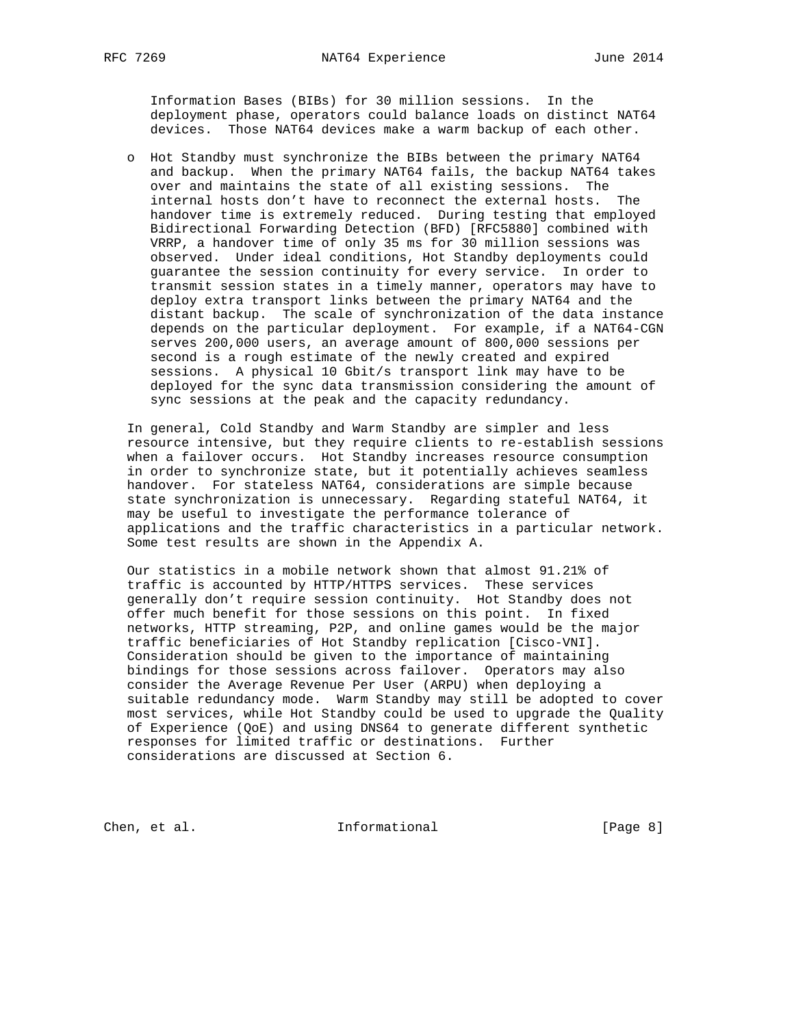Information Bases (BIBs) for 30 million sessions. In the deployment phase, operators could balance loads on distinct NAT64 devices. Those NAT64 devices make a warm backup of each other.

 o Hot Standby must synchronize the BIBs between the primary NAT64 and backup. When the primary NAT64 fails, the backup NAT64 takes over and maintains the state of all existing sessions. The internal hosts don't have to reconnect the external hosts. The handover time is extremely reduced. During testing that employed Bidirectional Forwarding Detection (BFD) [RFC5880] combined with VRRP, a handover time of only 35 ms for 30 million sessions was observed. Under ideal conditions, Hot Standby deployments could guarantee the session continuity for every service. In order to transmit session states in a timely manner, operators may have to deploy extra transport links between the primary NAT64 and the distant backup. The scale of synchronization of the data instance depends on the particular deployment. For example, if a NAT64-CGN serves 200,000 users, an average amount of 800,000 sessions per second is a rough estimate of the newly created and expired sessions. A physical 10 Gbit/s transport link may have to be deployed for the sync data transmission considering the amount of sync sessions at the peak and the capacity redundancy.

 In general, Cold Standby and Warm Standby are simpler and less resource intensive, but they require clients to re-establish sessions when a failover occurs. Hot Standby increases resource consumption in order to synchronize state, but it potentially achieves seamless handover. For stateless NAT64, considerations are simple because state synchronization is unnecessary. Regarding stateful NAT64, it may be useful to investigate the performance tolerance of applications and the traffic characteristics in a particular network. Some test results are shown in the Appendix A.

 Our statistics in a mobile network shown that almost 91.21% of traffic is accounted by HTTP/HTTPS services. These services generally don't require session continuity. Hot Standby does not offer much benefit for those sessions on this point. In fixed networks, HTTP streaming, P2P, and online games would be the major traffic beneficiaries of Hot Standby replication [Cisco-VNI]. Consideration should be given to the importance of maintaining bindings for those sessions across failover. Operators may also consider the Average Revenue Per User (ARPU) when deploying a suitable redundancy mode. Warm Standby may still be adopted to cover most services, while Hot Standby could be used to upgrade the Quality of Experience (QoE) and using DNS64 to generate different synthetic responses for limited traffic or destinations. Further considerations are discussed at Section 6.

Chen, et al. 100 Informational 100 [Page 8]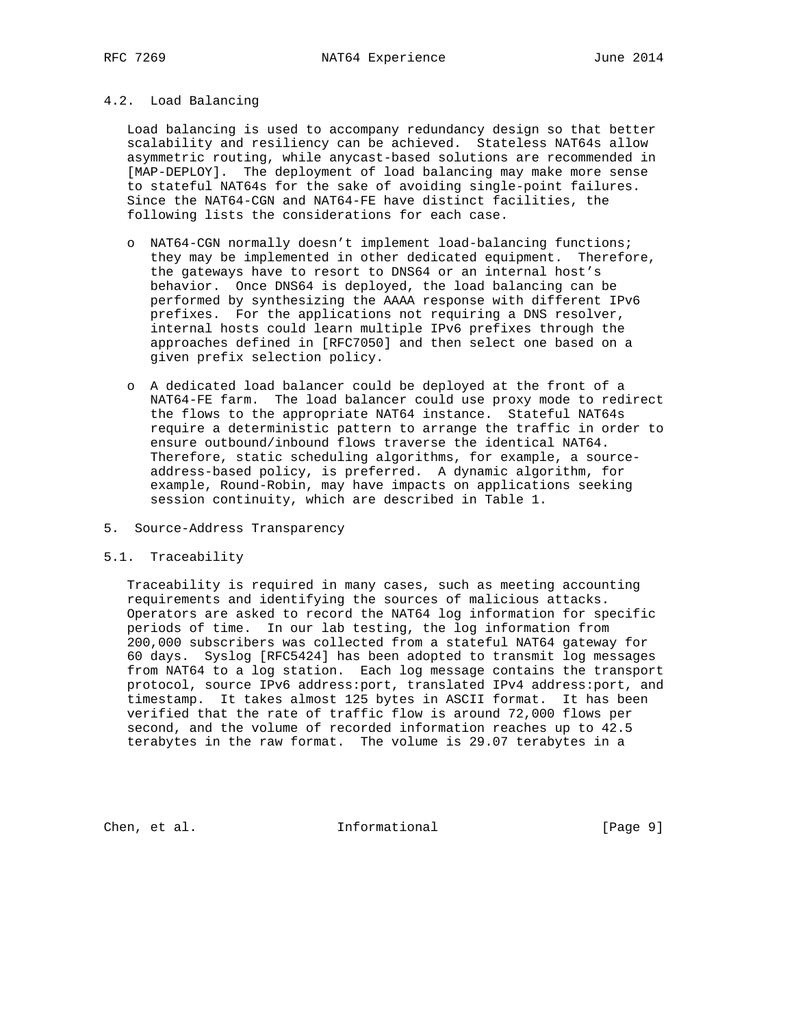# 4.2. Load Balancing

 Load balancing is used to accompany redundancy design so that better scalability and resiliency can be achieved. Stateless NAT64s allow asymmetric routing, while anycast-based solutions are recommended in [MAP-DEPLOY]. The deployment of load balancing may make more sense to stateful NAT64s for the sake of avoiding single-point failures. Since the NAT64-CGN and NAT64-FE have distinct facilities, the following lists the considerations for each case.

- o NAT64-CGN normally doesn't implement load-balancing functions; they may be implemented in other dedicated equipment. Therefore, the gateways have to resort to DNS64 or an internal host's behavior. Once DNS64 is deployed, the load balancing can be performed by synthesizing the AAAA response with different IPv6 prefixes. For the applications not requiring a DNS resolver, internal hosts could learn multiple IPv6 prefixes through the approaches defined in [RFC7050] and then select one based on a given prefix selection policy.
- o A dedicated load balancer could be deployed at the front of a NAT64-FE farm. The load balancer could use proxy mode to redirect the flows to the appropriate NAT64 instance. Stateful NAT64s require a deterministic pattern to arrange the traffic in order to ensure outbound/inbound flows traverse the identical NAT64. Therefore, static scheduling algorithms, for example, a source address-based policy, is preferred. A dynamic algorithm, for example, Round-Robin, may have impacts on applications seeking session continuity, which are described in Table 1.
- 5. Source-Address Transparency

## 5.1. Traceability

 Traceability is required in many cases, such as meeting accounting requirements and identifying the sources of malicious attacks. Operators are asked to record the NAT64 log information for specific periods of time. In our lab testing, the log information from 200,000 subscribers was collected from a stateful NAT64 gateway for 60 days. Syslog [RFC5424] has been adopted to transmit log messages from NAT64 to a log station. Each log message contains the transport protocol, source IPv6 address:port, translated IPv4 address:port, and timestamp. It takes almost 125 bytes in ASCII format. It has been verified that the rate of traffic flow is around 72,000 flows per second, and the volume of recorded information reaches up to 42.5 terabytes in the raw format. The volume is 29.07 terabytes in a

Chen, et al. 100 Informational 100 [Page 9]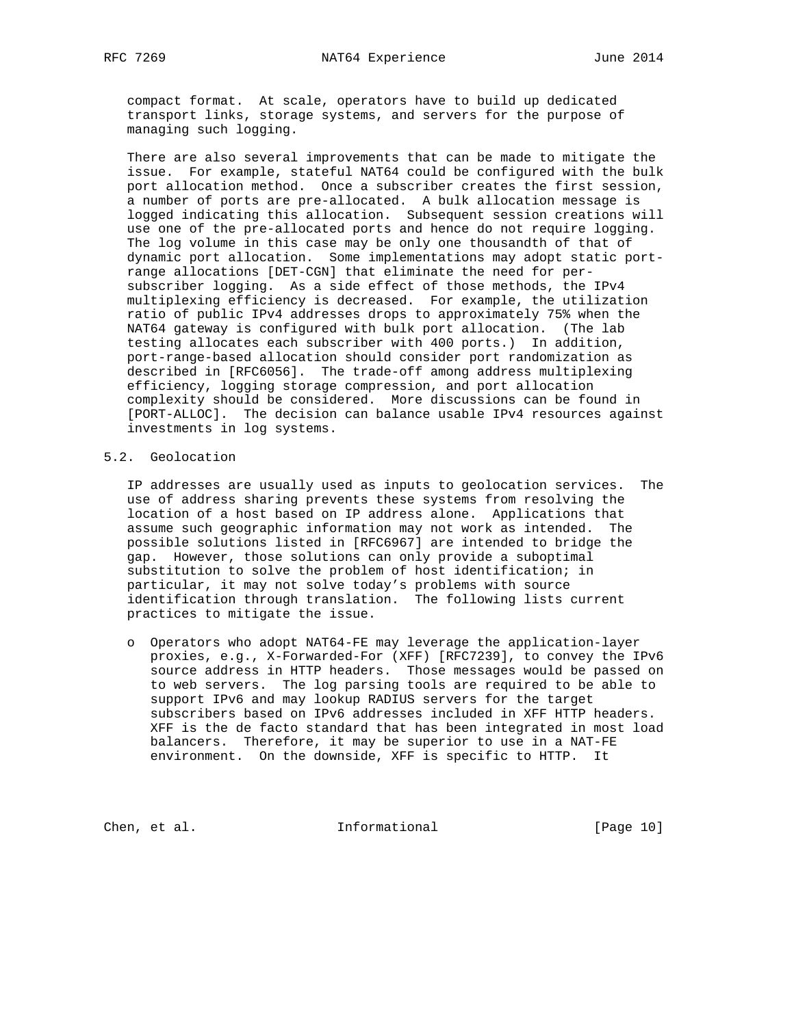compact format. At scale, operators have to build up dedicated transport links, storage systems, and servers for the purpose of managing such logging.

 There are also several improvements that can be made to mitigate the issue. For example, stateful NAT64 could be configured with the bulk port allocation method. Once a subscriber creates the first session, a number of ports are pre-allocated. A bulk allocation message is logged indicating this allocation. Subsequent session creations will use one of the pre-allocated ports and hence do not require logging. The log volume in this case may be only one thousandth of that of dynamic port allocation. Some implementations may adopt static port range allocations [DET-CGN] that eliminate the need for per subscriber logging. As a side effect of those methods, the IPv4 multiplexing efficiency is decreased. For example, the utilization ratio of public IPv4 addresses drops to approximately 75% when the NAT64 gateway is configured with bulk port allocation. (The lab testing allocates each subscriber with 400 ports.) In addition, port-range-based allocation should consider port randomization as described in [RFC6056]. The trade-off among address multiplexing efficiency, logging storage compression, and port allocation complexity should be considered. More discussions can be found in [PORT-ALLOC]. The decision can balance usable IPv4 resources against investments in log systems.

### 5.2. Geolocation

 IP addresses are usually used as inputs to geolocation services. The use of address sharing prevents these systems from resolving the location of a host based on IP address alone. Applications that assume such geographic information may not work as intended. The possible solutions listed in [RFC6967] are intended to bridge the gap. However, those solutions can only provide a suboptimal substitution to solve the problem of host identification; in particular, it may not solve today's problems with source identification through translation. The following lists current practices to mitigate the issue.

 o Operators who adopt NAT64-FE may leverage the application-layer proxies, e.g., X-Forwarded-For (XFF) [RFC7239], to convey the IPv6 source address in HTTP headers. Those messages would be passed on to web servers. The log parsing tools are required to be able to support IPv6 and may lookup RADIUS servers for the target subscribers based on IPv6 addresses included in XFF HTTP headers. XFF is the de facto standard that has been integrated in most load balancers. Therefore, it may be superior to use in a NAT-FE environment. On the downside, XFF is specific to HTTP. It

Chen, et al. 10 Informational [Page 10]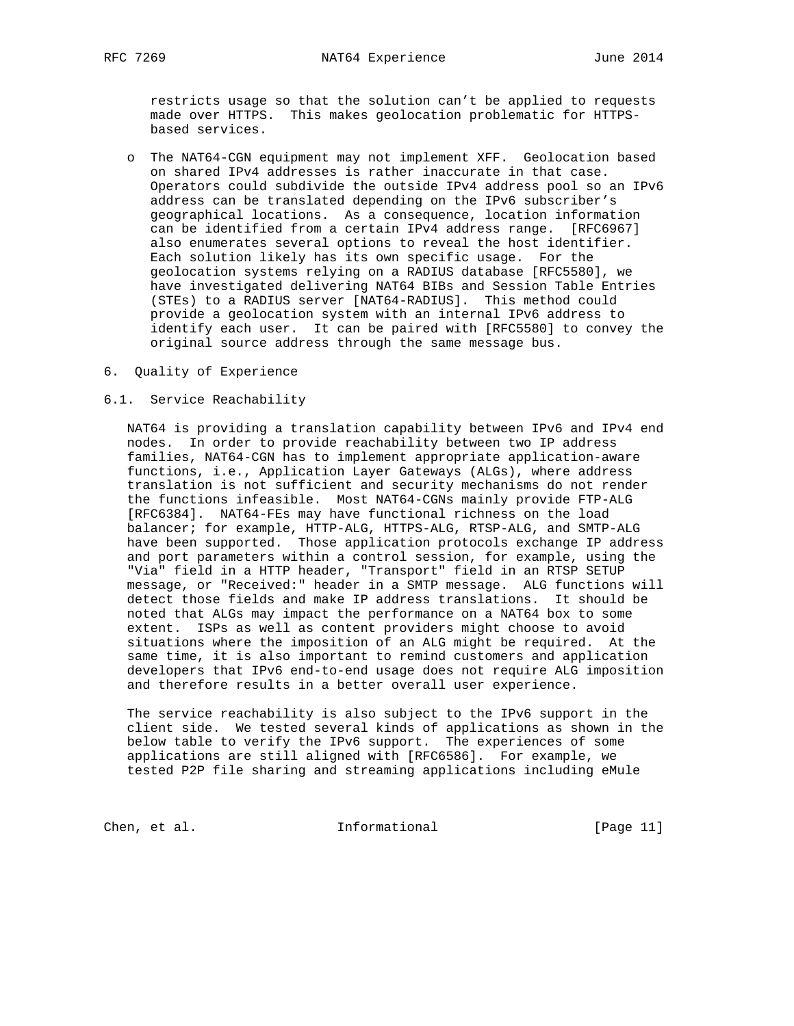restricts usage so that the solution can't be applied to requests made over HTTPS. This makes geolocation problematic for HTTPS based services.

- o The NAT64-CGN equipment may not implement XFF. Geolocation based on shared IPv4 addresses is rather inaccurate in that case. Operators could subdivide the outside IPv4 address pool so an IPv6 address can be translated depending on the IPv6 subscriber's geographical locations. As a consequence, location information can be identified from a certain IPv4 address range. [RFC6967] also enumerates several options to reveal the host identifier. Each solution likely has its own specific usage. For the geolocation systems relying on a RADIUS database [RFC5580], we have investigated delivering NAT64 BIBs and Session Table Entries (STEs) to a RADIUS server [NAT64-RADIUS]. This method could provide a geolocation system with an internal IPv6 address to identify each user. It can be paired with [RFC5580] to convey the original source address through the same message bus.
- 6. Quality of Experience

### 6.1. Service Reachability

 NAT64 is providing a translation capability between IPv6 and IPv4 end nodes. In order to provide reachability between two IP address families, NAT64-CGN has to implement appropriate application-aware functions, i.e., Application Layer Gateways (ALGs), where address translation is not sufficient and security mechanisms do not render the functions infeasible. Most NAT64-CGNs mainly provide FTP-ALG [RFC6384]. NAT64-FEs may have functional richness on the load balancer; for example, HTTP-ALG, HTTPS-ALG, RTSP-ALG, and SMTP-ALG have been supported. Those application protocols exchange IP address and port parameters within a control session, for example, using the "Via" field in a HTTP header, "Transport" field in an RTSP SETUP message, or "Received:" header in a SMTP message. ALG functions will detect those fields and make IP address translations. It should be noted that ALGs may impact the performance on a NAT64 box to some extent. ISPs as well as content providers might choose to avoid situations where the imposition of an ALG might be required. At the same time, it is also important to remind customers and application developers that IPv6 end-to-end usage does not require ALG imposition and therefore results in a better overall user experience.

 The service reachability is also subject to the IPv6 support in the client side. We tested several kinds of applications as shown in the below table to verify the IPv6 support. The experiences of some applications are still aligned with [RFC6586]. For example, we tested P2P file sharing and streaming applications including eMule

Chen, et al. 10. Informational [Page 11]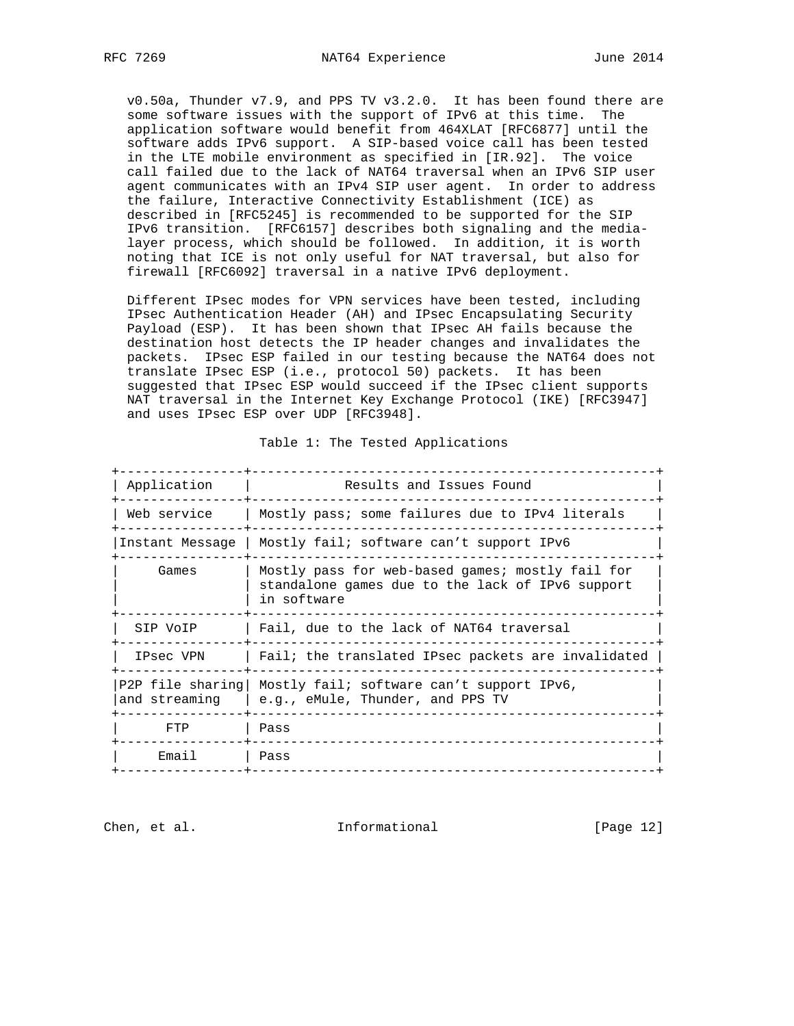v0.50a, Thunder v7.9, and PPS TV v3.2.0. It has been found there are some software issues with the support of IPv6 at this time. The application software would benefit from 464XLAT [RFC6877] until the software adds IPv6 support. A SIP-based voice call has been tested in the LTE mobile environment as specified in [IR.92]. The voice call failed due to the lack of NAT64 traversal when an IPv6 SIP user agent communicates with an IPv4 SIP user agent. In order to address the failure, Interactive Connectivity Establishment (ICE) as described in [RFC5245] is recommended to be supported for the SIP IPv6 transition. [RFC6157] describes both signaling and the media layer process, which should be followed. In addition, it is worth noting that ICE is not only useful for NAT traversal, but also for firewall [RFC6092] traversal in a native IPv6 deployment.

 Different IPsec modes for VPN services have been tested, including IPsec Authentication Header (AH) and IPsec Encapsulating Security Payload (ESP). It has been shown that IPsec AH fails because the destination host detects the IP header changes and invalidates the packets. IPsec ESP failed in our testing because the NAT64 does not translate IPsec ESP (i.e., protocol 50) packets. It has been suggested that IPsec ESP would succeed if the IPsec client supports NAT traversal in the Internet Key Exchange Protocol (IKE) [RFC3947] and uses IPsec ESP over UDP [RFC3948].

| Application   | Results and Issues Found                                                                                            |
|---------------|---------------------------------------------------------------------------------------------------------------------|
| Web service   | Mostly pass; some failures due to IPv4 literals                                                                     |
|               | Instant Message   Mostly fail; software can't support IPv6                                                          |
| Games         | Mostly pass for web-based games; mostly fail for<br>standalone games due to the lack of IPv6 support<br>in software |
| SIP VoIP      | Fail, due to the lack of NAT64 traversal                                                                            |
| IPsec VPN     | Fail; the translated IPsec packets are invalidated                                                                  |
| and streaming | P2P file sharing   Mostly fail; software can't support IPv6,<br>e.g., eMule, Thunder, and PPS TV                    |
| FTP           | Pass                                                                                                                |
| Email         | Pass                                                                                                                |

#### Table 1: The Tested Applications

Chen, et al. 100 a.m. Informational [Page 12]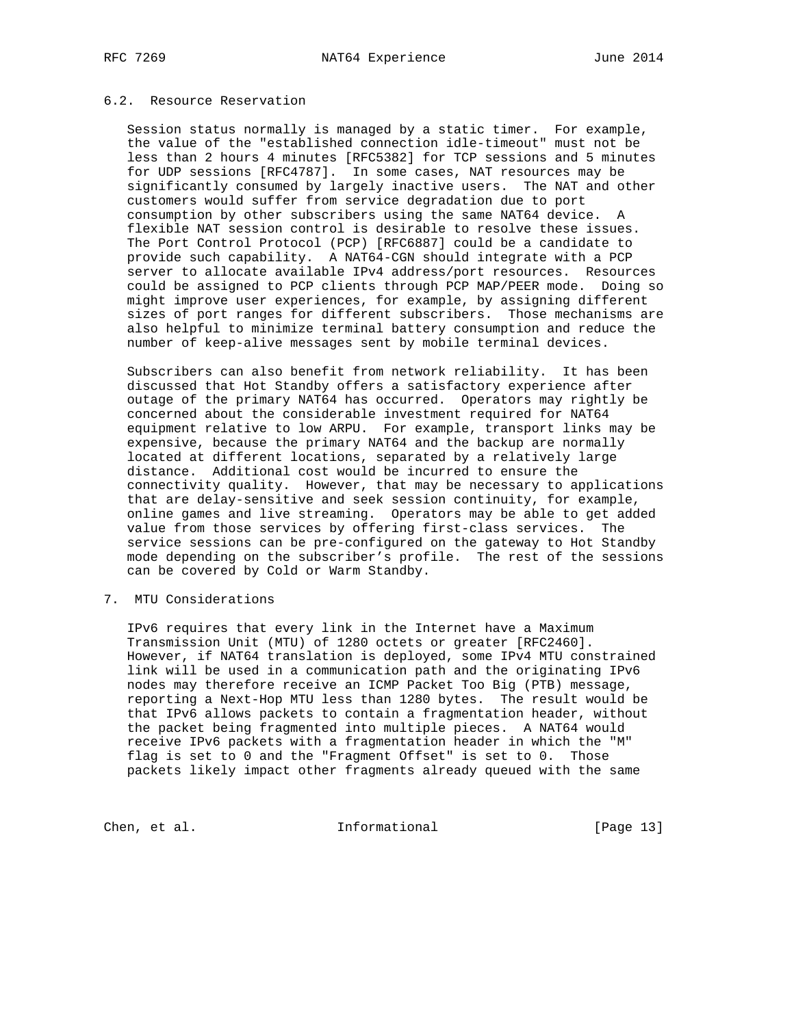### 6.2. Resource Reservation

 Session status normally is managed by a static timer. For example, the value of the "established connection idle-timeout" must not be less than 2 hours 4 minutes [RFC5382] for TCP sessions and 5 minutes for UDP sessions [RFC4787]. In some cases, NAT resources may be significantly consumed by largely inactive users. The NAT and other customers would suffer from service degradation due to port consumption by other subscribers using the same NAT64 device. A flexible NAT session control is desirable to resolve these issues. The Port Control Protocol (PCP) [RFC6887] could be a candidate to provide such capability. A NAT64-CGN should integrate with a PCP server to allocate available IPv4 address/port resources. Resources could be assigned to PCP clients through PCP MAP/PEER mode. Doing so might improve user experiences, for example, by assigning different sizes of port ranges for different subscribers. Those mechanisms are also helpful to minimize terminal battery consumption and reduce the number of keep-alive messages sent by mobile terminal devices.

 Subscribers can also benefit from network reliability. It has been discussed that Hot Standby offers a satisfactory experience after outage of the primary NAT64 has occurred. Operators may rightly be concerned about the considerable investment required for NAT64 equipment relative to low ARPU. For example, transport links may be expensive, because the primary NAT64 and the backup are normally located at different locations, separated by a relatively large distance. Additional cost would be incurred to ensure the connectivity quality. However, that may be necessary to applications that are delay-sensitive and seek session continuity, for example, online games and live streaming. Operators may be able to get added value from those services by offering first-class services. The service sessions can be pre-configured on the gateway to Hot Standby mode depending on the subscriber's profile. The rest of the sessions can be covered by Cold or Warm Standby.

### 7. MTU Considerations

 IPv6 requires that every link in the Internet have a Maximum Transmission Unit (MTU) of 1280 octets or greater [RFC2460]. However, if NAT64 translation is deployed, some IPv4 MTU constrained link will be used in a communication path and the originating IPv6 nodes may therefore receive an ICMP Packet Too Big (PTB) message, reporting a Next-Hop MTU less than 1280 bytes. The result would be that IPv6 allows packets to contain a fragmentation header, without the packet being fragmented into multiple pieces. A NAT64 would receive IPv6 packets with a fragmentation header in which the "M" flag is set to 0 and the "Fragment Offset" is set to 0. Those packets likely impact other fragments already queued with the same

Chen, et al. 100 Informational [Page 13]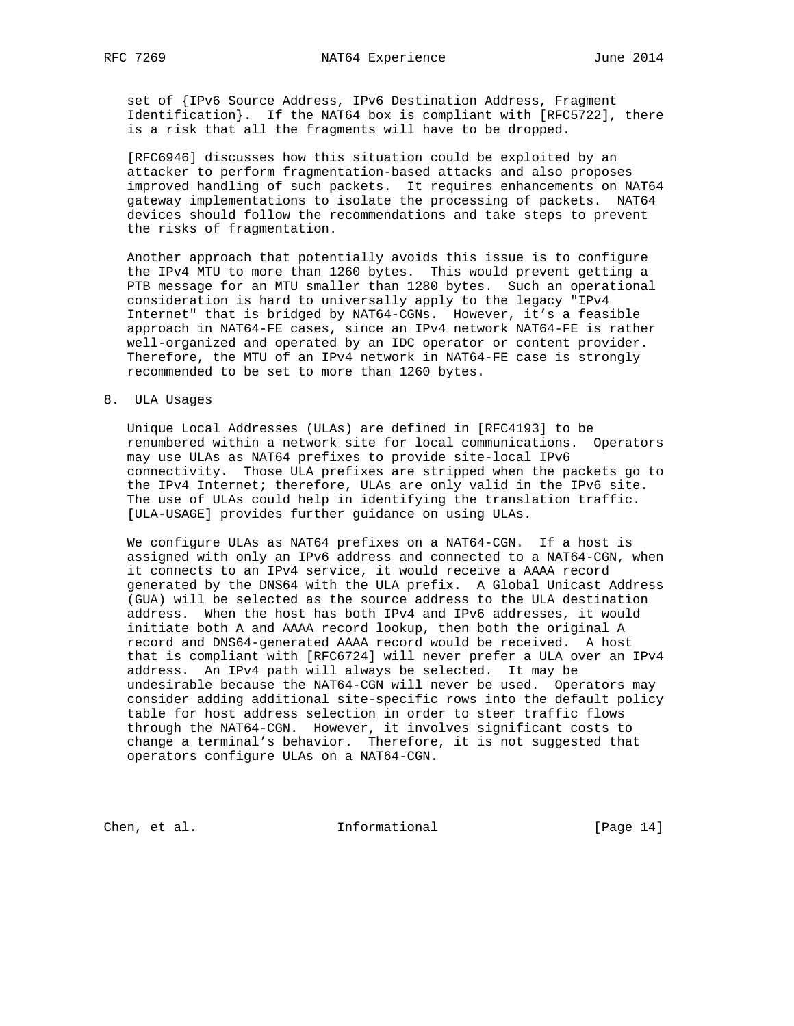set of {IPv6 Source Address, IPv6 Destination Address, Fragment Identification}. If the NAT64 box is compliant with [RFC5722], there is a risk that all the fragments will have to be dropped.

 [RFC6946] discusses how this situation could be exploited by an attacker to perform fragmentation-based attacks and also proposes improved handling of such packets. It requires enhancements on NAT64 gateway implementations to isolate the processing of packets. NAT64 devices should follow the recommendations and take steps to prevent the risks of fragmentation.

 Another approach that potentially avoids this issue is to configure the IPv4 MTU to more than 1260 bytes. This would prevent getting a PTB message for an MTU smaller than 1280 bytes. Such an operational consideration is hard to universally apply to the legacy "IPv4 Internet" that is bridged by NAT64-CGNs. However, it's a feasible approach in NAT64-FE cases, since an IPv4 network NAT64-FE is rather well-organized and operated by an IDC operator or content provider. Therefore, the MTU of an IPv4 network in NAT64-FE case is strongly recommended to be set to more than 1260 bytes.

### 8. ULA Usages

 Unique Local Addresses (ULAs) are defined in [RFC4193] to be renumbered within a network site for local communications. Operators may use ULAs as NAT64 prefixes to provide site-local IPv6 connectivity. Those ULA prefixes are stripped when the packets go to the IPv4 Internet; therefore, ULAs are only valid in the IPv6 site. The use of ULAs could help in identifying the translation traffic. [ULA-USAGE] provides further guidance on using ULAs.

 We configure ULAs as NAT64 prefixes on a NAT64-CGN. If a host is assigned with only an IPv6 address and connected to a NAT64-CGN, when it connects to an IPv4 service, it would receive a AAAA record generated by the DNS64 with the ULA prefix. A Global Unicast Address (GUA) will be selected as the source address to the ULA destination address. When the host has both IPv4 and IPv6 addresses, it would initiate both A and AAAA record lookup, then both the original A record and DNS64-generated AAAA record would be received. A host that is compliant with [RFC6724] will never prefer a ULA over an IPv4 address. An IPv4 path will always be selected. It may be undesirable because the NAT64-CGN will never be used. Operators may consider adding additional site-specific rows into the default policy table for host address selection in order to steer traffic flows through the NAT64-CGN. However, it involves significant costs to change a terminal's behavior. Therefore, it is not suggested that operators configure ULAs on a NAT64-CGN.

Chen, et al. 100 Informational [Page 14]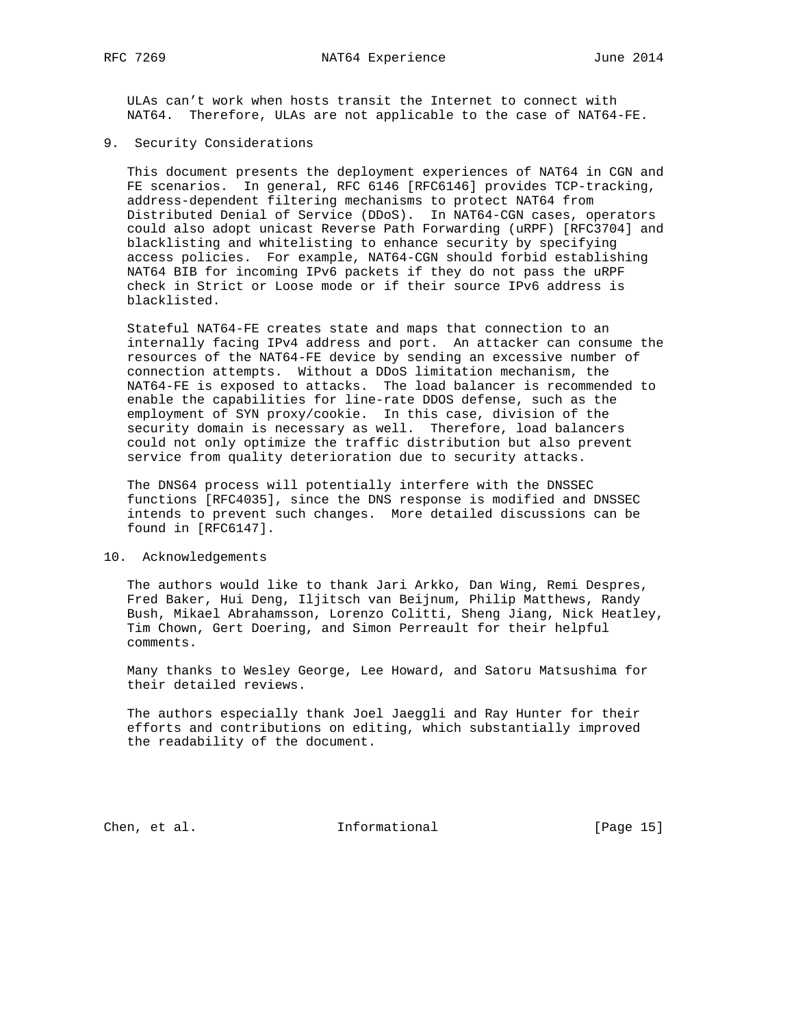ULAs can't work when hosts transit the Internet to connect with NAT64. Therefore, ULAs are not applicable to the case of NAT64-FE.

9. Security Considerations

 This document presents the deployment experiences of NAT64 in CGN and FE scenarios. In general, RFC 6146 [RFC6146] provides TCP-tracking, address-dependent filtering mechanisms to protect NAT64 from Distributed Denial of Service (DDoS). In NAT64-CGN cases, operators could also adopt unicast Reverse Path Forwarding (uRPF) [RFC3704] and blacklisting and whitelisting to enhance security by specifying access policies. For example, NAT64-CGN should forbid establishing NAT64 BIB for incoming IPv6 packets if they do not pass the uRPF check in Strict or Loose mode or if their source IPv6 address is blacklisted.

 Stateful NAT64-FE creates state and maps that connection to an internally facing IPv4 address and port. An attacker can consume the resources of the NAT64-FE device by sending an excessive number of connection attempts. Without a DDoS limitation mechanism, the NAT64-FE is exposed to attacks. The load balancer is recommended to enable the capabilities for line-rate DDOS defense, such as the employment of SYN proxy/cookie. In this case, division of the security domain is necessary as well. Therefore, load balancers could not only optimize the traffic distribution but also prevent service from quality deterioration due to security attacks.

 The DNS64 process will potentially interfere with the DNSSEC functions [RFC4035], since the DNS response is modified and DNSSEC intends to prevent such changes. More detailed discussions can be found in [RFC6147].

#### 10. Acknowledgements

 The authors would like to thank Jari Arkko, Dan Wing, Remi Despres, Fred Baker, Hui Deng, Iljitsch van Beijnum, Philip Matthews, Randy Bush, Mikael Abrahamsson, Lorenzo Colitti, Sheng Jiang, Nick Heatley, Tim Chown, Gert Doering, and Simon Perreault for their helpful comments.

 Many thanks to Wesley George, Lee Howard, and Satoru Matsushima for their detailed reviews.

 The authors especially thank Joel Jaeggli and Ray Hunter for their efforts and contributions on editing, which substantially improved the readability of the document.

Chen, et al. 100 Informational [Page 15]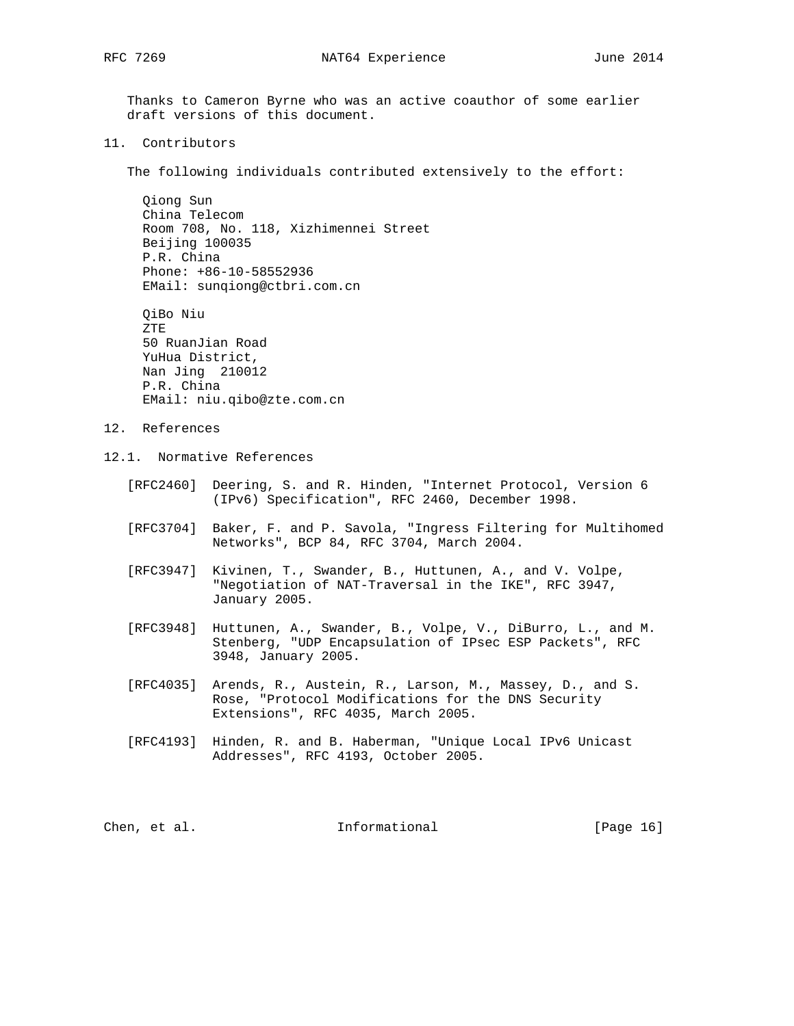Thanks to Cameron Byrne who was an active coauthor of some earlier draft versions of this document.

11. Contributors

The following individuals contributed extensively to the effort:

 Qiong Sun China Telecom Room 708, No. 118, Xizhimennei Street Beijing 100035 P.R. China Phone: +86-10-58552936 EMail: sunqiong@ctbri.com.cn

 QiBo Niu ZTE 50 RuanJian Road YuHua District, Nan Jing 210012 P.R. China EMail: niu.qibo@zte.com.cn

- 12. References
- 12.1. Normative References
	- [RFC2460] Deering, S. and R. Hinden, "Internet Protocol, Version 6 (IPv6) Specification", RFC 2460, December 1998.
	- [RFC3704] Baker, F. and P. Savola, "Ingress Filtering for Multihomed Networks", BCP 84, RFC 3704, March 2004.
	- [RFC3947] Kivinen, T., Swander, B., Huttunen, A., and V. Volpe, "Negotiation of NAT-Traversal in the IKE", RFC 3947, January 2005.
	- [RFC3948] Huttunen, A., Swander, B., Volpe, V., DiBurro, L., and M. Stenberg, "UDP Encapsulation of IPsec ESP Packets", RFC 3948, January 2005.
	- [RFC4035] Arends, R., Austein, R., Larson, M., Massey, D., and S. Rose, "Protocol Modifications for the DNS Security Extensions", RFC 4035, March 2005.
	- [RFC4193] Hinden, R. and B. Haberman, "Unique Local IPv6 Unicast Addresses", RFC 4193, October 2005.

Chen, et al. 100 mm informational [Page 16]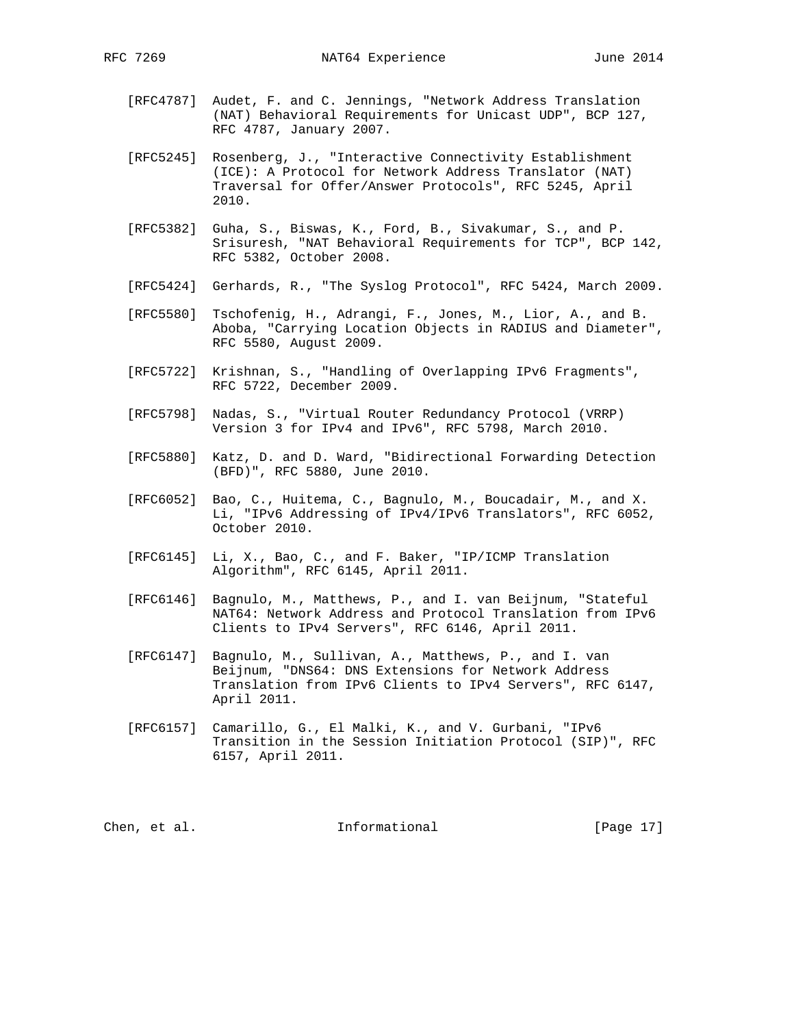- [RFC4787] Audet, F. and C. Jennings, "Network Address Translation (NAT) Behavioral Requirements for Unicast UDP", BCP 127, RFC 4787, January 2007.
- [RFC5245] Rosenberg, J., "Interactive Connectivity Establishment (ICE): A Protocol for Network Address Translator (NAT) Traversal for Offer/Answer Protocols", RFC 5245, April 2010.
- [RFC5382] Guha, S., Biswas, K., Ford, B., Sivakumar, S., and P. Srisuresh, "NAT Behavioral Requirements for TCP", BCP 142, RFC 5382, October 2008.
- [RFC5424] Gerhards, R., "The Syslog Protocol", RFC 5424, March 2009.
- [RFC5580] Tschofenig, H., Adrangi, F., Jones, M., Lior, A., and B. Aboba, "Carrying Location Objects in RADIUS and Diameter", RFC 5580, August 2009.
- [RFC5722] Krishnan, S., "Handling of Overlapping IPv6 Fragments", RFC 5722, December 2009.
- [RFC5798] Nadas, S., "Virtual Router Redundancy Protocol (VRRP) Version 3 for IPv4 and IPv6", RFC 5798, March 2010.
- [RFC5880] Katz, D. and D. Ward, "Bidirectional Forwarding Detection (BFD)", RFC 5880, June 2010.
- [RFC6052] Bao, C., Huitema, C., Bagnulo, M., Boucadair, M., and X. Li, "IPv6 Addressing of IPv4/IPv6 Translators", RFC 6052, October 2010.
- [RFC6145] Li, X., Bao, C., and F. Baker, "IP/ICMP Translation Algorithm", RFC 6145, April 2011.
- [RFC6146] Bagnulo, M., Matthews, P., and I. van Beijnum, "Stateful NAT64: Network Address and Protocol Translation from IPv6 Clients to IPv4 Servers", RFC 6146, April 2011.
- [RFC6147] Bagnulo, M., Sullivan, A., Matthews, P., and I. van Beijnum, "DNS64: DNS Extensions for Network Address Translation from IPv6 Clients to IPv4 Servers", RFC 6147, April 2011.
- [RFC6157] Camarillo, G., El Malki, K., and V. Gurbani, "IPv6 Transition in the Session Initiation Protocol (SIP)", RFC 6157, April 2011.

Chen, et al. 100 mm informational [Page 17]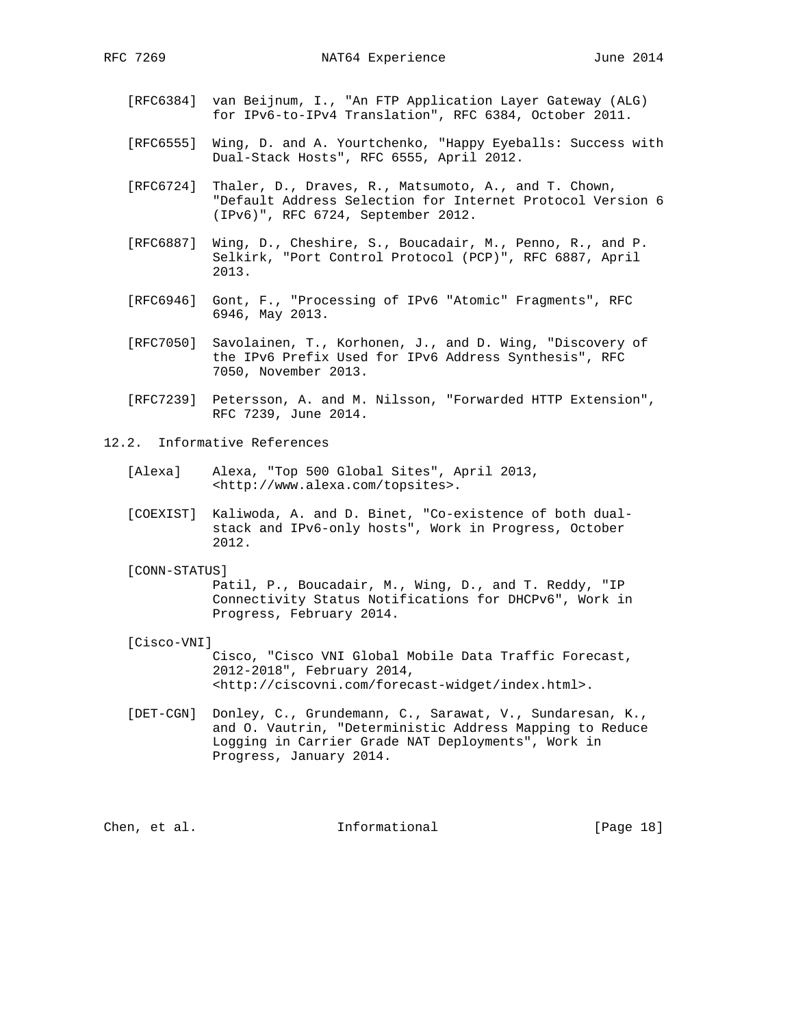- [RFC6384] van Beijnum, I., "An FTP Application Layer Gateway (ALG) for IPv6-to-IPv4 Translation", RFC 6384, October 2011.
- [RFC6555] Wing, D. and A. Yourtchenko, "Happy Eyeballs: Success with Dual-Stack Hosts", RFC 6555, April 2012.
- [RFC6724] Thaler, D., Draves, R., Matsumoto, A., and T. Chown, "Default Address Selection for Internet Protocol Version 6 (IPv6)", RFC 6724, September 2012.
- [RFC6887] Wing, D., Cheshire, S., Boucadair, M., Penno, R., and P. Selkirk, "Port Control Protocol (PCP)", RFC 6887, April 2013.
- [RFC6946] Gont, F., "Processing of IPv6 "Atomic" Fragments", RFC 6946, May 2013.
- [RFC7050] Savolainen, T., Korhonen, J., and D. Wing, "Discovery of the IPv6 Prefix Used for IPv6 Address Synthesis", RFC 7050, November 2013.
- [RFC7239] Petersson, A. and M. Nilsson, "Forwarded HTTP Extension", RFC 7239, June 2014.
- 12.2. Informative References
	- [Alexa] Alexa, "Top 500 Global Sites", April 2013, <http://www.alexa.com/topsites>.
	- [COEXIST] Kaliwoda, A. and D. Binet, "Co-existence of both dual stack and IPv6-only hosts", Work in Progress, October 2012.
	- [CONN-STATUS]

 Patil, P., Boucadair, M., Wing, D., and T. Reddy, "IP Connectivity Status Notifications for DHCPv6", Work in Progress, February 2014.

[Cisco-VNI]

 Cisco, "Cisco VNI Global Mobile Data Traffic Forecast, 2012-2018", February 2014, <http://ciscovni.com/forecast-widget/index.html>.

 [DET-CGN] Donley, C., Grundemann, C., Sarawat, V., Sundaresan, K., and O. Vautrin, "Deterministic Address Mapping to Reduce Logging in Carrier Grade NAT Deployments", Work in Progress, January 2014.

Chen, et al. 100 and 111 Informational 100 and 18 [Page 18]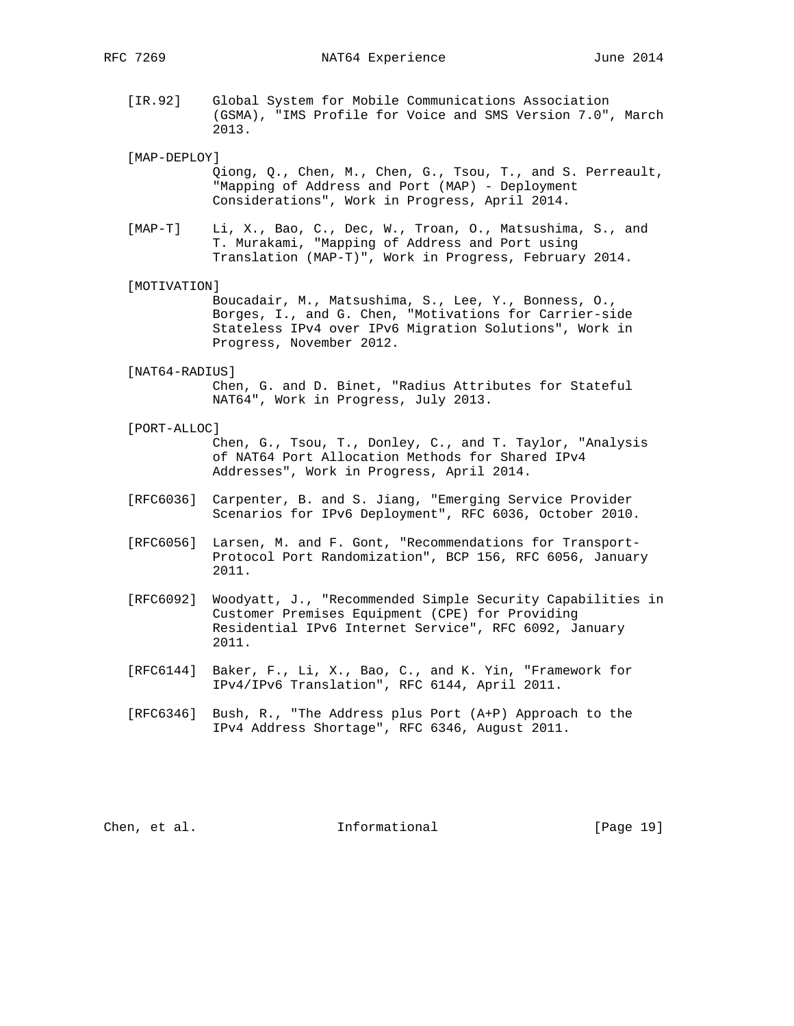- [IR.92] Global System for Mobile Communications Association (GSMA), "IMS Profile for Voice and SMS Version 7.0", March 2013.
- [MAP-DEPLOY]
	- Qiong, Q., Chen, M., Chen, G., Tsou, T., and S. Perreault, "Mapping of Address and Port (MAP) - Deployment Considerations", Work in Progress, April 2014.
- [MAP-T] Li, X., Bao, C., Dec, W., Troan, O., Matsushima, S., and T. Murakami, "Mapping of Address and Port using Translation (MAP-T)", Work in Progress, February 2014.
- [MOTIVATION]

 Boucadair, M., Matsushima, S., Lee, Y., Bonness, O., Borges, I., and G. Chen, "Motivations for Carrier-side Stateless IPv4 over IPv6 Migration Solutions", Work in Progress, November 2012.

- [NAT64-RADIUS] Chen, G. and D. Binet, "Radius Attributes for Stateful NAT64", Work in Progress, July 2013.
- [PORT-ALLOC]

 Chen, G., Tsou, T., Donley, C., and T. Taylor, "Analysis of NAT64 Port Allocation Methods for Shared IPv4 Addresses", Work in Progress, April 2014.

- [RFC6036] Carpenter, B. and S. Jiang, "Emerging Service Provider Scenarios for IPv6 Deployment", RFC 6036, October 2010.
- [RFC6056] Larsen, M. and F. Gont, "Recommendations for Transport- Protocol Port Randomization", BCP 156, RFC 6056, January 2011.
- [RFC6092] Woodyatt, J., "Recommended Simple Security Capabilities in Customer Premises Equipment (CPE) for Providing Residential IPv6 Internet Service", RFC 6092, January 2011.
- [RFC6144] Baker, F., Li, X., Bao, C., and K. Yin, "Framework for IPv4/IPv6 Translation", RFC 6144, April 2011.
- [RFC6346] Bush, R., "The Address plus Port (A+P) Approach to the IPv4 Address Shortage", RFC 6346, August 2011.

Chen, et al. The Informational [Page 19]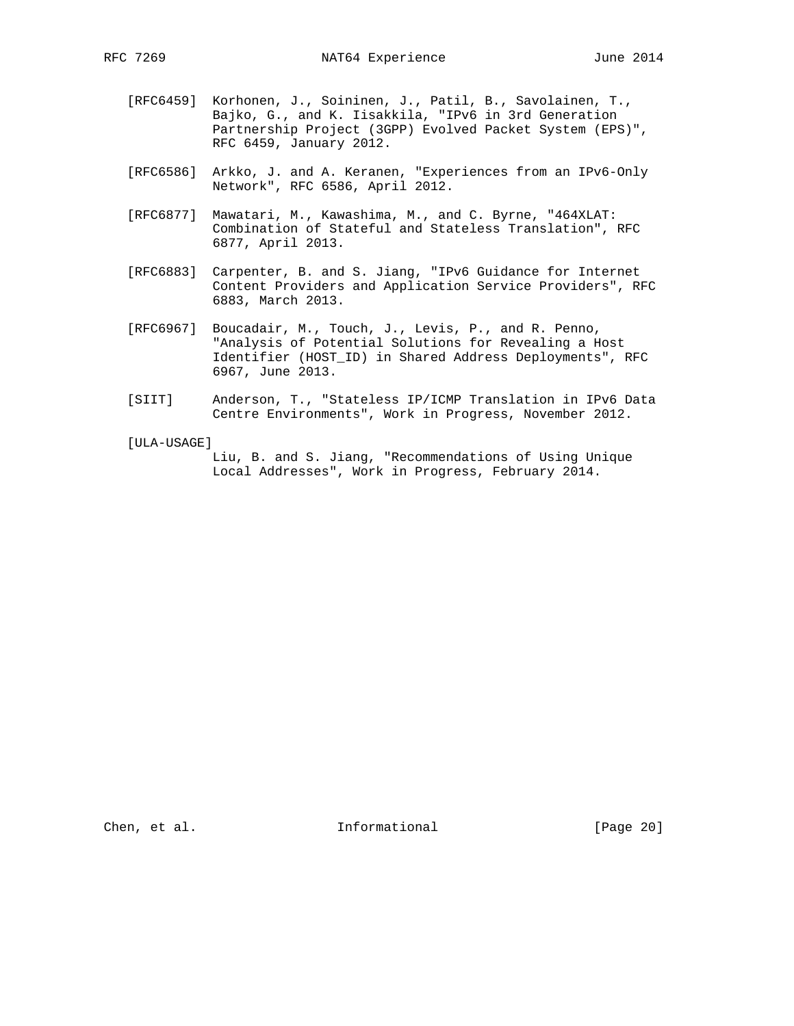- [RFC6459] Korhonen, J., Soininen, J., Patil, B., Savolainen, T., Bajko, G., and K. Iisakkila, "IPv6 in 3rd Generation Partnership Project (3GPP) Evolved Packet System (EPS)", RFC 6459, January 2012.
- [RFC6586] Arkko, J. and A. Keranen, "Experiences from an IPv6-Only Network", RFC 6586, April 2012.
- [RFC6877] Mawatari, M., Kawashima, M., and C. Byrne, "464XLAT: Combination of Stateful and Stateless Translation", RFC 6877, April 2013.
- [RFC6883] Carpenter, B. and S. Jiang, "IPv6 Guidance for Internet Content Providers and Application Service Providers", RFC 6883, March 2013.
- [RFC6967] Boucadair, M., Touch, J., Levis, P., and R. Penno, "Analysis of Potential Solutions for Revealing a Host Identifier (HOST\_ID) in Shared Address Deployments", RFC 6967, June 2013.
- [SIIT] Anderson, T., "Stateless IP/ICMP Translation in IPv6 Data Centre Environments", Work in Progress, November 2012.
- [ULA-USAGE]

 Liu, B. and S. Jiang, "Recommendations of Using Unique Local Addresses", Work in Progress, February 2014.

Chen, et al. 100 Informational [Page 20]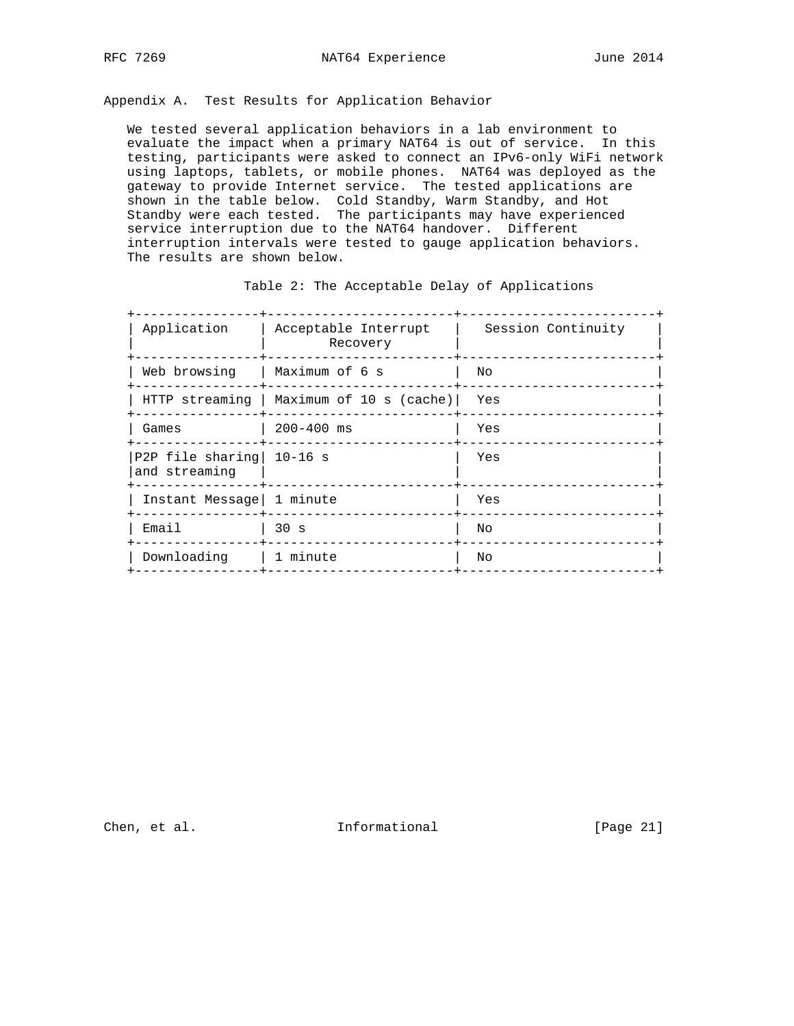Appendix A. Test Results for Application Behavior

 We tested several application behaviors in a lab environment to evaluate the impact when a primary NAT64 is out of service. In this testing, participants were asked to connect an IPv6-only WiFi network using laptops, tablets, or mobile phones. NAT64 was deployed as the gateway to provide Internet service. The tested applications are shown in the table below. Cold Standby, Warm Standby, and Hot Standby were each tested. The participants may have experienced service interruption due to the NAT64 handover. Different interruption intervals were tested to gauge application behaviors. The results are shown below.

| Application                                 | Acceptable Interrupt<br>Recovery | Session Continuity |
|---------------------------------------------|----------------------------------|--------------------|
| Web browsing                                | Maximum of 6 s                   | Nο                 |
| HTTP streaming                              | Maximum of 10 s (cache)          | Yes                |
| Games                                       | $200 - 400$ ms                   | Yes                |
| P2P file sharing   10-16 s<br>and streaming |                                  | Yes                |
| Instant Message   1 minute                  |                                  | Yes                |
| Email                                       | 30 <sub>s</sub>                  | Nο                 |
| Downloading                                 | l 1 minute                       | Nο                 |
|                                             |                                  |                    |

Table 2: The Acceptable Delay of Applications

Chen, et al. 100 Informational [Page 21]